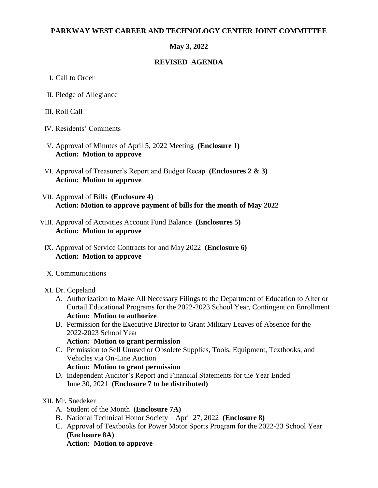#### **PARKWAY WEST CAREER AND TECHNOLOGY CENTER JOINT COMMITTEE**

## **May 3, 2022**

### **REVISED AGENDA**

- I. Call to Order
- II. Pledge of Allegiance
- III. Roll Call
- IV. Residents' Comments
- V. Approval of Minutes of April 5, 2022 Meeting **(Enclosure 1) Action: Motion to approve**
- VI. Approval of Treasurer's Report and Budget Recap **(Enclosures 2 & 3) Action: Motion to approve**
- VII. Approval of Bills **(Enclosure 4) Action: Motion to approve payment of bills for the month of May 2022**
- VIII. Approval of Activities Account Fund Balance **(Enclosures 5) Action: Motion to approve**
	- IX. Approval of Service Contracts for and May 2022 **(Enclosure 6) Action: Motion to approve**
	- X. Communications

### XI. Dr. Copeland

- A. Authorization to Make All Necessary Filings to the Department of Education to Alter or Curtail Educational Programs for the 2022-2023 School Year, Contingent on Enrollment **Action: Motion to authorize**
- B. Permission for the Executive Director to Grant Military Leaves of Absence for the 2022-2023 School Year

#### **Action: Motion to grant permission**

- C. Permission to Sell Unused or Obsolete Supplies, Tools, Equipment, Textbooks, and Vehicles via On-Line Auction
	- **Action: Motion to grant permission**
- D. Independent Auditor's Report and Financial Statements for the Year Ended June 30, 2021 **(Enclosure 7 to be distributed)**

### XII. Mr. Snedeker

- A. Student of the Month **(Enclosure 7A)**
- B. National Technical Honor Society April 27, 2022 **(Enclosure 8)**
- C. Approval of Textbooks for Power Motor Sports Program for the 2022-23 School Year **(Enclosure 8A) Action: Motion to approve**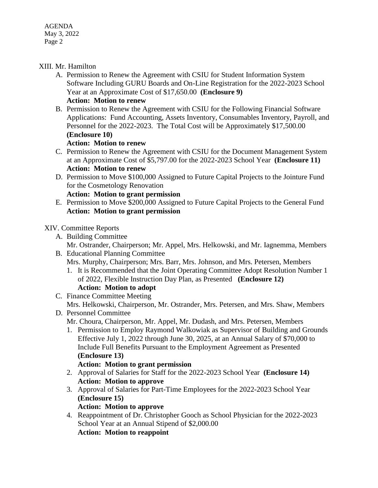AGENDA May 3, 2022 Page 2

### XIII. Mr. Hamilton

A. Permission to Renew the Agreement with CSIU for Student Information System Software Including GURU Boards and On-Line Registration for the 2022-2023 School Year at an Approximate Cost of \$17,650.00 **(Enclosure 9)**

# **Action: Motion to renew**

B. Permission to Renew the Agreement with CSIU for the Following Financial Software Applications: Fund Accounting, Assets Inventory, Consumables Inventory, Payroll, and Personnel for the 2022-2023. The Total Cost will be Approximately \$17,500.00 **(Enclosure 10)**

#### **Action: Motion to renew**

- C. Permission to Renew the Agreement with CSIU for the Document Management System at an Approximate Cost of \$5,797.00 for the 2022-2023 School Year **(Enclosure 11) Action: Motion to renew**
- D. Permission to Move \$100,000 Assigned to Future Capital Projects to the Jointure Fund for the Cosmetology Renovation **Action: Motion to grant permission**
- E. Permission to Move \$200,000 Assigned to Future Capital Projects to the General Fund **Action: Motion to grant permission**

#### XIV. Committee Reports

- A. Building Committee Mr. Ostrander, Chairperson; Mr. Appel, Mrs. Helkowski, and Mr. Iagnemma, Members
- B. Educational Planning Committee Mrs. Murphy, Chairperson; Mrs. Barr, Mrs. Johnson, and Mrs. Petersen, Members
	- 1. It is Recommended that the Joint Operating Committee Adopt Resolution Number 1 of 2022, Flexible Instruction Day Plan, as Presented **(Enclosure 12)**

# **Action: Motion to adopt**

C. Finance Committee Meeting

Mrs. Helkowski, Chairperson, Mr. Ostrander, Mrs. Petersen, and Mrs. Shaw, Members D. Personnel Committee

- Mr. Choura, Chairperson, Mr. Appel, Mr. Dudash, and Mrs. Petersen, Members
- 1. Permission to Employ Raymond Walkowiak as Supervisor of Building and Grounds Effective July 1, 2022 through June 30, 2025, at an Annual Salary of \$70,000 to Include Full Benefits Pursuant to the Employment Agreement as Presented **(Enclosure 13)**

### **Action: Motion to grant permission**

- 2. Approval of Salaries for Staff for the 2022-2023 School Year **(Enclosure 14) Action: Motion to approve**
- 3. Approval of Salaries for Part-Time Employees for the 2022-2023 School Year **(Enclosure 15)**

#### **Action: Motion to approve**

4. Reappointment of Dr. Christopher Gooch as School Physician for the 2022-2023 School Year at an Annual Stipend of \$2,000.00 **Action: Motion to reappoint**